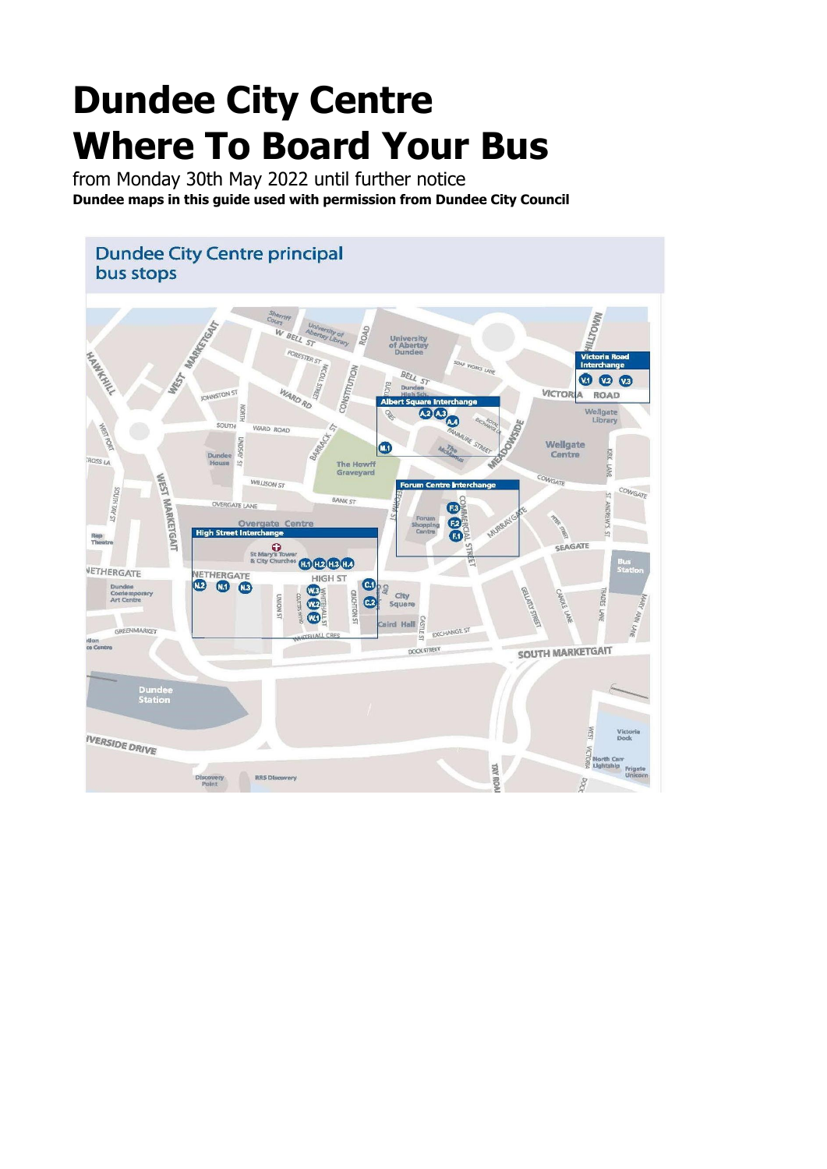## **Dundee City Centre Where To Board Your Bus**

from Monday 30th May 2022 until further notice **Dundee maps in this guide used with permission from Dundee City Council**

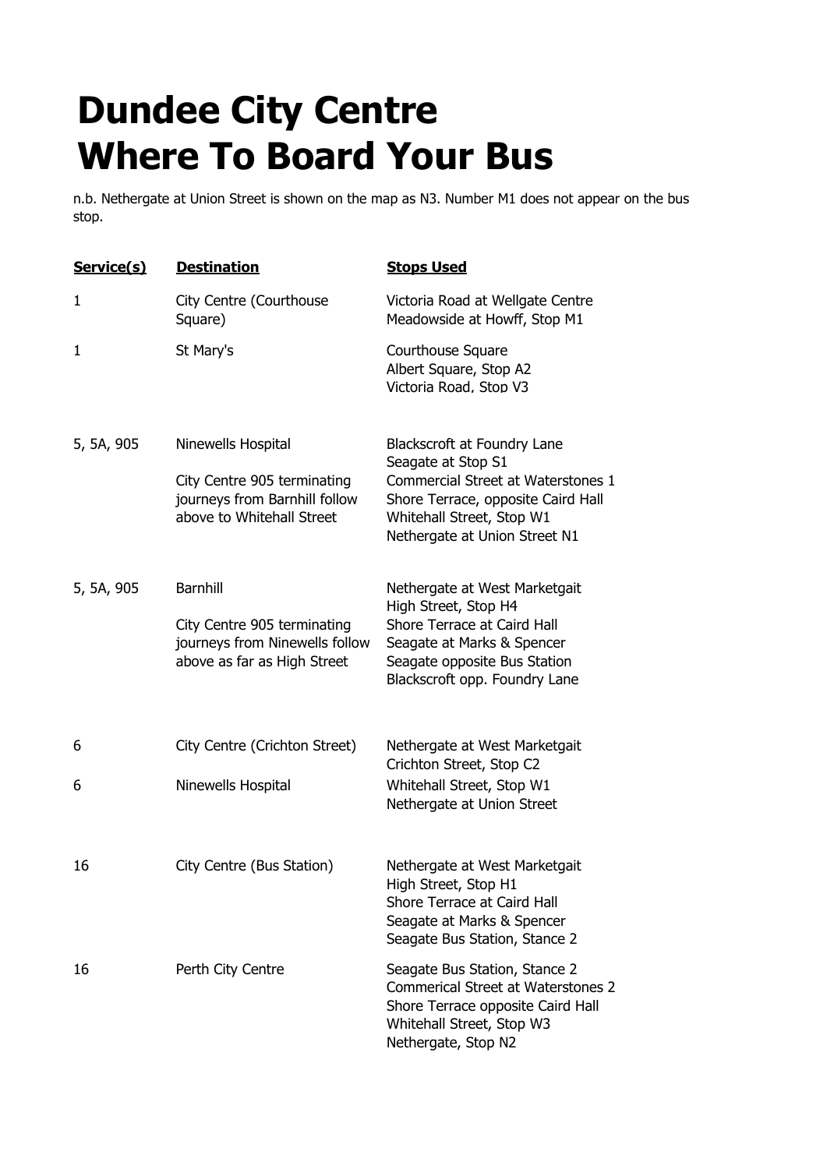## **Dundee City Centre Where To Board Your Bus**

n.b. Nethergate at Union Street is shown on the map as N3. Number M1 does not appear on the bus stop.

| Service(s) | <b>Destination</b>                                                                                              | <b>Stops Used</b>                                                                                                                                                                           |
|------------|-----------------------------------------------------------------------------------------------------------------|---------------------------------------------------------------------------------------------------------------------------------------------------------------------------------------------|
| 1          | City Centre (Courthouse<br>Square)                                                                              | Victoria Road at Wellgate Centre<br>Meadowside at Howff, Stop M1                                                                                                                            |
| 1          | St Mary's                                                                                                       | Courthouse Square<br>Albert Square, Stop A2<br>Victoria Road, Stop V3                                                                                                                       |
| 5, 5A, 905 | Ninewells Hospital<br>City Centre 905 terminating<br>journeys from Barnhill follow<br>above to Whitehall Street | Blackscroft at Foundry Lane<br>Seagate at Stop S1<br>Commercial Street at Waterstones 1<br>Shore Terrace, opposite Caird Hall<br>Whitehall Street, Stop W1<br>Nethergate at Union Street N1 |
| 5, 5A, 905 | <b>Barnhill</b><br>City Centre 905 terminating<br>journeys from Ninewells follow<br>above as far as High Street | Nethergate at West Marketgait<br>High Street, Stop H4<br>Shore Terrace at Caird Hall<br>Seagate at Marks & Spencer<br>Seagate opposite Bus Station<br>Blackscroft opp. Foundry Lane         |
| 6          | City Centre (Crichton Street)                                                                                   | Nethergate at West Marketgait<br>Crichton Street, Stop C2                                                                                                                                   |
| 6          | Ninewells Hospital                                                                                              | Whitehall Street, Stop W1<br>Nethergate at Union Street                                                                                                                                     |
| 16         | City Centre (Bus Station)                                                                                       | Nethergate at West Marketgait<br>High Street, Stop H1<br>Shore Terrace at Caird Hall<br>Seagate at Marks & Spencer<br>Seagate Bus Station, Stance 2                                         |
| 16         | Perth City Centre                                                                                               | Seagate Bus Station, Stance 2<br><b>Commerical Street at Waterstones 2</b><br>Shore Terrace opposite Caird Hall<br>Whitehall Street, Stop W3<br>Nethergate, Stop N2                         |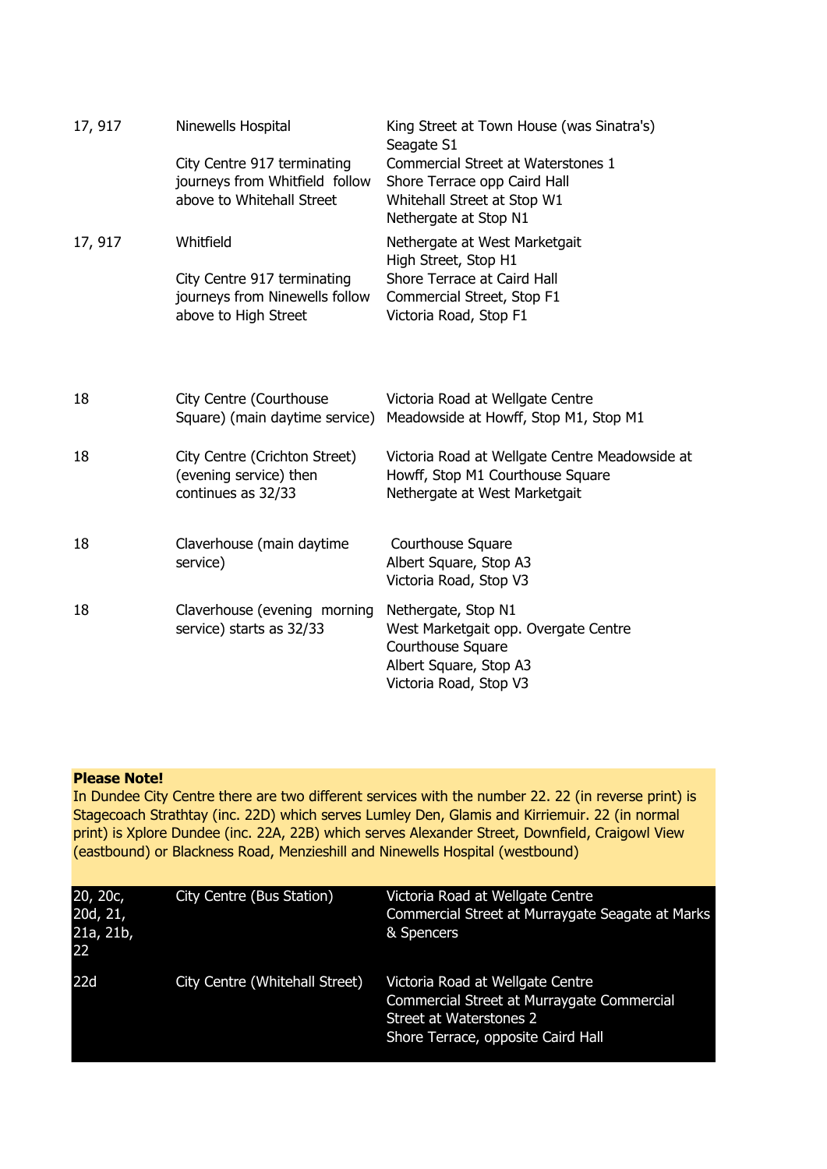| 17, 917 | Ninewells Hospital                                                                         | King Street at Town House (was Sinatra's)<br>Seagate S1                                                                              |
|---------|--------------------------------------------------------------------------------------------|--------------------------------------------------------------------------------------------------------------------------------------|
|         | City Centre 917 terminating<br>journeys from Whitfield follow<br>above to Whitehall Street | Commercial Street at Waterstones 1<br>Shore Terrace opp Caird Hall<br>Whitehall Street at Stop W1<br>Nethergate at Stop N1           |
| 17, 917 | Whitfield                                                                                  | Nethergate at West Marketgait<br>High Street, Stop H1                                                                                |
|         | City Centre 917 terminating<br>journeys from Ninewells follow<br>above to High Street      | Shore Terrace at Caird Hall<br>Commercial Street, Stop F1<br>Victoria Road, Stop F1                                                  |
|         |                                                                                            |                                                                                                                                      |
| 18      | City Centre (Courthouse<br>Square) (main daytime service)                                  | Victoria Road at Wellgate Centre<br>Meadowside at Howff, Stop M1, Stop M1                                                            |
| 18      | City Centre (Crichton Street)<br>(evening service) then<br>continues as 32/33              | Victoria Road at Wellgate Centre Meadowside at<br>Howff, Stop M1 Courthouse Square<br>Nethergate at West Marketgait                  |
| 18      | Claverhouse (main daytime<br>service)                                                      | Courthouse Square<br>Albert Square, Stop A3<br>Victoria Road, Stop V3                                                                |
| 18      | Claverhouse (evening morning<br>service) starts as 32/33                                   | Nethergate, Stop N1<br>West Marketgait opp. Overgate Centre<br>Courthouse Square<br>Albert Square, Stop A3<br>Victoria Road, Stop V3 |

## **Please Note!**

In Dundee City Centre there are two different services with the number 22. 22 (in reverse print) is Stagecoach Strathtay (inc. 22D) which serves Lumley Den, Glamis and Kirriemuir. 22 (in normal print) is Xplore Dundee (inc. 22A, 22B) which serves Alexander Street, Downfield, Craigowl View (eastbound) or Blackness Road, Menzieshill and Ninewells Hospital (westbound)

| 20, 20c,<br>20d, 21,<br>21a, 21b,<br>22 | City Centre (Bus Station)      | Victoria Road at Wellgate Centre<br>Commercial Street at Murraygate Seagate at Marks<br>& Spencers                                              |
|-----------------------------------------|--------------------------------|-------------------------------------------------------------------------------------------------------------------------------------------------|
| 22d                                     | City Centre (Whitehall Street) | Victoria Road at Wellgate Centre<br>Commercial Street at Murraygate Commercial<br>Street at Waterstones 2<br>Shore Terrace, opposite Caird Hall |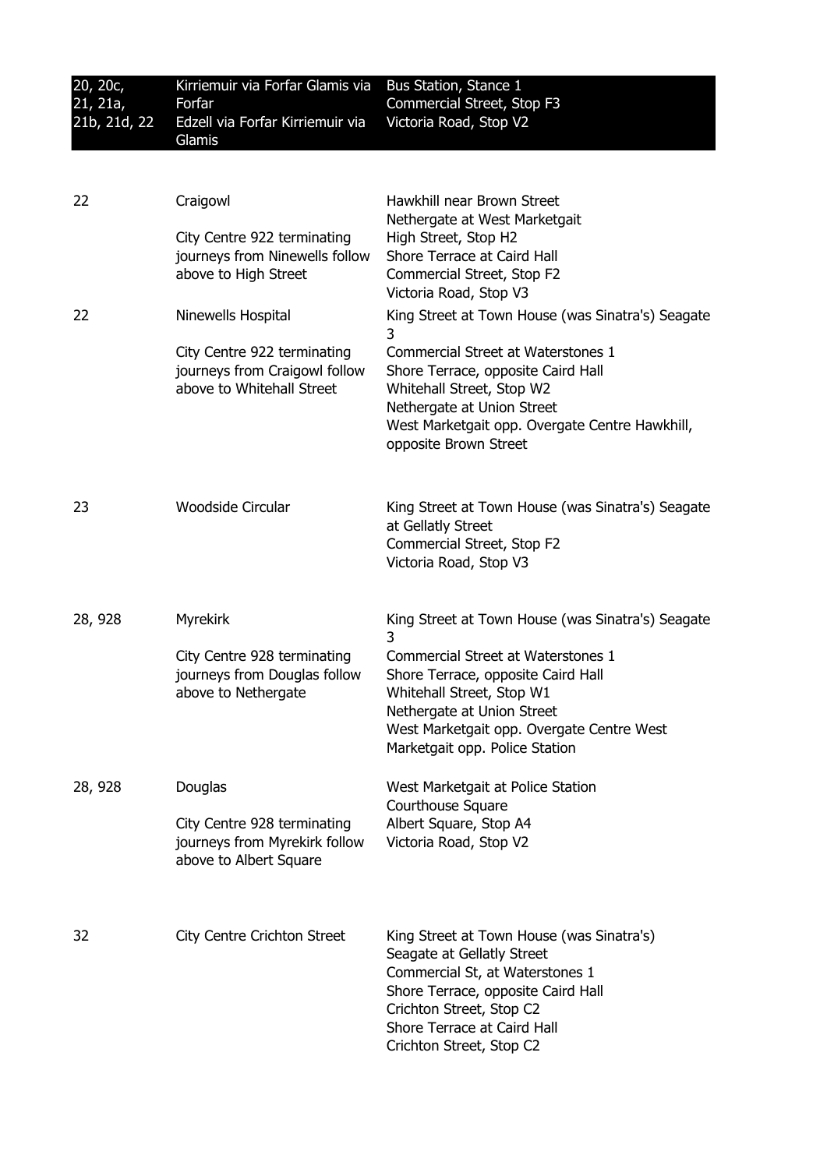| 20, 20c,<br>21, 21a,<br>21b, 21d, 22 | Kirriemuir via Forfar Glamis via<br>Forfar<br>Edzell via Forfar Kirriemuir via<br>Glamis  | Bus Station, Stance 1<br>Commercial Street, Stop F3<br>Victoria Road, Stop V2                                                                                                                                                           |
|--------------------------------------|-------------------------------------------------------------------------------------------|-----------------------------------------------------------------------------------------------------------------------------------------------------------------------------------------------------------------------------------------|
|                                      |                                                                                           |                                                                                                                                                                                                                                         |
| 22                                   | Craigowl                                                                                  | Hawkhill near Brown Street<br>Nethergate at West Marketgait                                                                                                                                                                             |
|                                      | City Centre 922 terminating<br>journeys from Ninewells follow<br>above to High Street     | High Street, Stop H2<br>Shore Terrace at Caird Hall<br>Commercial Street, Stop F2<br>Victoria Road, Stop V3                                                                                                                             |
| 22                                   | Ninewells Hospital                                                                        | King Street at Town House (was Sinatra's) Seagate<br>3                                                                                                                                                                                  |
|                                      | City Centre 922 terminating<br>journeys from Craigowl follow<br>above to Whitehall Street | Commercial Street at Waterstones 1<br>Shore Terrace, opposite Caird Hall<br>Whitehall Street, Stop W2<br>Nethergate at Union Street<br>West Marketgait opp. Overgate Centre Hawkhill,<br>opposite Brown Street                          |
| 23                                   | Woodside Circular                                                                         | King Street at Town House (was Sinatra's) Seagate<br>at Gellatly Street<br>Commercial Street, Stop F2<br>Victoria Road, Stop V3                                                                                                         |
| 28, 928                              | <b>Myrekirk</b>                                                                           | King Street at Town House (was Sinatra's) Seagate                                                                                                                                                                                       |
|                                      | City Centre 928 terminating<br>journeys from Douglas follow<br>above to Nethergate        | 3<br>Commercial Street at Waterstones 1<br>Shore Terrace, opposite Caird Hall<br>Whitehall Street, Stop W1<br>Nethergate at Union Street<br>West Marketgait opp. Overgate Centre West<br>Marketgait opp. Police Station                 |
| 28, 928                              | Douglas                                                                                   | West Marketgait at Police Station                                                                                                                                                                                                       |
|                                      | City Centre 928 terminating<br>journeys from Myrekirk follow<br>above to Albert Square    | <b>Courthouse Square</b><br>Albert Square, Stop A4<br>Victoria Road, Stop V2                                                                                                                                                            |
| 32                                   | City Centre Crichton Street                                                               | King Street at Town House (was Sinatra's)<br>Seagate at Gellatly Street<br>Commercial St, at Waterstones 1<br>Shore Terrace, opposite Caird Hall<br>Crichton Street, Stop C2<br>Shore Terrace at Caird Hall<br>Crichton Street, Stop C2 |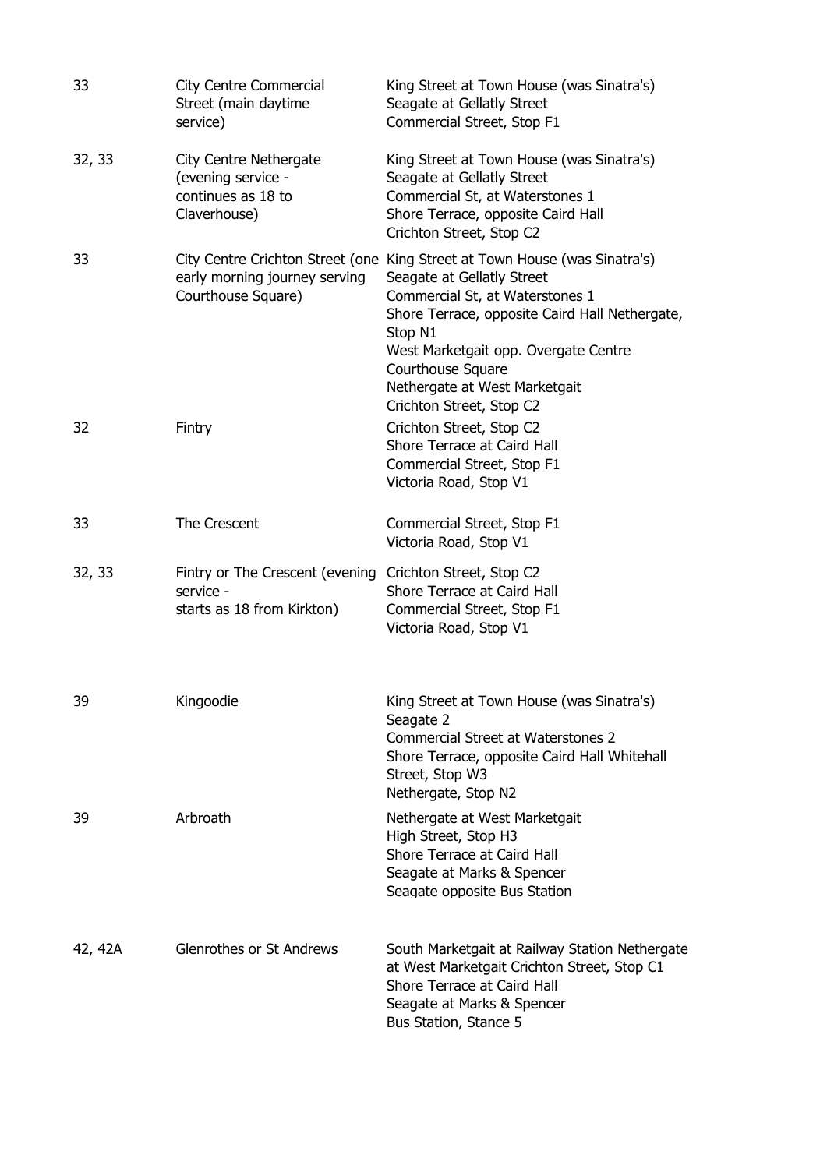| 33      | <b>City Centre Commercial</b><br>Street (main daytime<br>service)                                   | King Street at Town House (was Sinatra's)<br>Seagate at Gellatly Street<br>Commercial Street, Stop F1                                                                                                                                                                                                                              |
|---------|-----------------------------------------------------------------------------------------------------|------------------------------------------------------------------------------------------------------------------------------------------------------------------------------------------------------------------------------------------------------------------------------------------------------------------------------------|
| 32, 33  | <b>City Centre Nethergate</b><br>(evening service -<br>continues as 18 to<br>Claverhouse)           | King Street at Town House (was Sinatra's)<br>Seagate at Gellatly Street<br>Commercial St, at Waterstones 1<br>Shore Terrace, opposite Caird Hall<br>Crichton Street, Stop C2                                                                                                                                                       |
| 33      | early morning journey serving<br>Courthouse Square)                                                 | City Centre Crichton Street (one King Street at Town House (was Sinatra's)<br>Seagate at Gellatly Street<br>Commercial St, at Waterstones 1<br>Shore Terrace, opposite Caird Hall Nethergate,<br>Stop N1<br>West Marketgait opp. Overgate Centre<br>Courthouse Square<br>Nethergate at West Marketgait<br>Crichton Street, Stop C2 |
| 32      | Fintry                                                                                              | Crichton Street, Stop C2<br>Shore Terrace at Caird Hall<br>Commercial Street, Stop F1<br>Victoria Road, Stop V1                                                                                                                                                                                                                    |
| 33      | The Crescent                                                                                        | Commercial Street, Stop F1<br>Victoria Road, Stop V1                                                                                                                                                                                                                                                                               |
| 32, 33  | Fintry or The Crescent (evening Crichton Street, Stop C2<br>service -<br>starts as 18 from Kirkton) | Shore Terrace at Caird Hall<br>Commercial Street, Stop F1<br>Victoria Road, Stop V1                                                                                                                                                                                                                                                |
| 39      | Kingoodie                                                                                           | King Street at Town House (was Sinatra's)<br>Seagate 2<br><b>Commercial Street at Waterstones 2</b><br>Shore Terrace, opposite Caird Hall Whitehall<br>Street, Stop W3<br>Nethergate, Stop N2                                                                                                                                      |
| 39      | Arbroath                                                                                            | Nethergate at West Marketgait<br>High Street, Stop H3<br>Shore Terrace at Caird Hall<br>Seagate at Marks & Spencer<br>Seagate opposite Bus Station                                                                                                                                                                                 |
| 42, 42A | Glenrothes or St Andrews                                                                            | South Marketgait at Railway Station Nethergate<br>at West Marketgait Crichton Street, Stop C1<br>Shore Terrace at Caird Hall<br>Seagate at Marks & Spencer<br>Bus Station, Stance 5                                                                                                                                                |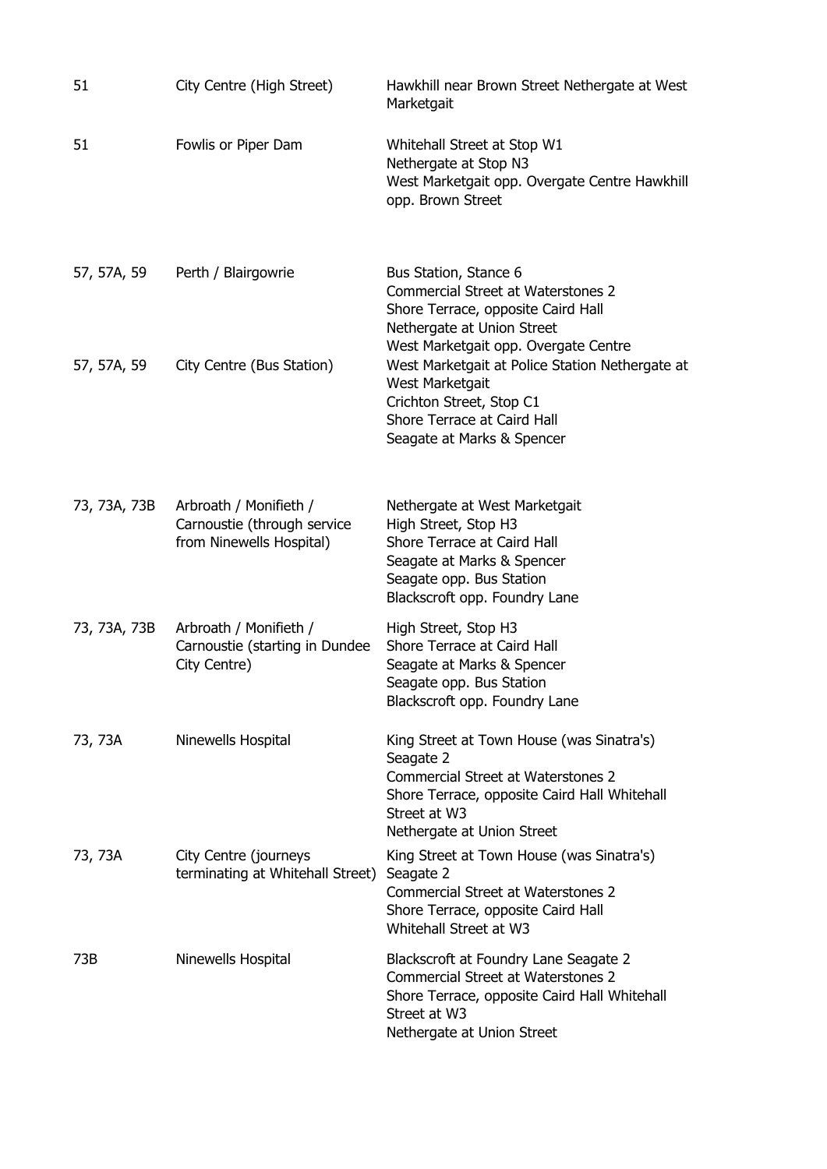| 51           | City Centre (High Street)                                                         | Hawkhill near Brown Street Nethergate at West<br>Marketgait                                                                                                                                       |
|--------------|-----------------------------------------------------------------------------------|---------------------------------------------------------------------------------------------------------------------------------------------------------------------------------------------------|
| 51           | Fowlis or Piper Dam                                                               | Whitehall Street at Stop W1<br>Nethergate at Stop N3<br>West Marketgait opp. Overgate Centre Hawkhill<br>opp. Brown Street                                                                        |
| 57, 57A, 59  | Perth / Blairgowrie                                                               | Bus Station, Stance 6<br><b>Commercial Street at Waterstones 2</b><br>Shore Terrace, opposite Caird Hall<br>Nethergate at Union Street<br>West Marketgait opp. Overgate Centre                    |
| 57, 57A, 59  | City Centre (Bus Station)                                                         | West Marketgait at Police Station Nethergate at<br>West Marketgait<br>Crichton Street, Stop C1<br>Shore Terrace at Caird Hall<br>Seagate at Marks & Spencer                                       |
| 73, 73A, 73B | Arbroath / Monifieth /<br>Carnoustie (through service<br>from Ninewells Hospital) | Nethergate at West Marketgait<br>High Street, Stop H3<br>Shore Terrace at Caird Hall<br>Seagate at Marks & Spencer<br>Seagate opp. Bus Station<br>Blackscroft opp. Foundry Lane                   |
| 73, 73A, 73B | Arbroath / Monifieth /<br>Carnoustie (starting in Dundee<br>City Centre)          | High Street, Stop H3<br>Shore Terrace at Caird Hall<br>Seagate at Marks & Spencer<br>Seagate opp. Bus Station<br>Blackscroft opp. Foundry Lane                                                    |
| 73, 73A      | Ninewells Hospital                                                                | King Street at Town House (was Sinatra's)<br>Seagate 2<br><b>Commercial Street at Waterstones 2</b><br>Shore Terrace, opposite Caird Hall Whitehall<br>Street at W3<br>Nethergate at Union Street |
| 73, 73A      | City Centre (journeys<br>terminating at Whitehall Street)                         | King Street at Town House (was Sinatra's)<br>Seagate 2<br><b>Commercial Street at Waterstones 2</b><br>Shore Terrace, opposite Caird Hall<br>Whitehall Street at W3                               |
| 73B          | Ninewells Hospital                                                                | Blackscroft at Foundry Lane Seagate 2<br><b>Commercial Street at Waterstones 2</b><br>Shore Terrace, opposite Caird Hall Whitehall<br>Street at W3<br>Nethergate at Union Street                  |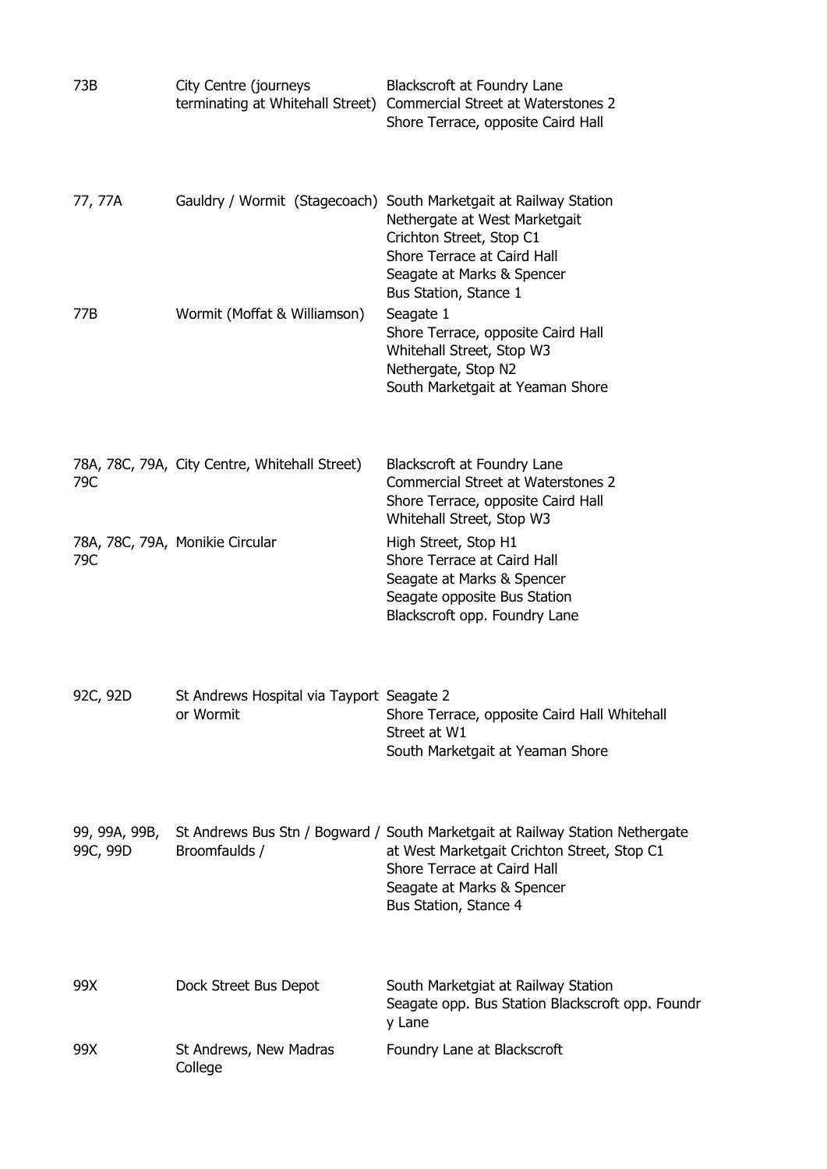| 73B                       | City Centre (journeys                                  | Blackscroft at Foundry Lane<br>terminating at Whitehall Street) Commercial Street at Waterstones 2<br>Shore Terrace, opposite Caird Hall                                                                           |
|---------------------------|--------------------------------------------------------|--------------------------------------------------------------------------------------------------------------------------------------------------------------------------------------------------------------------|
| 77, 77A                   | Gauldry / Wormit (Stagecoach)                          | South Marketgait at Railway Station<br>Nethergate at West Marketgait<br>Crichton Street, Stop C1<br>Shore Terrace at Caird Hall<br>Seagate at Marks & Spencer                                                      |
| 77B                       | Wormit (Moffat & Williamson)                           | Bus Station, Stance 1<br>Seagate 1<br>Shore Terrace, opposite Caird Hall<br>Whitehall Street, Stop W3<br>Nethergate, Stop N2<br>South Marketgait at Yeaman Shore                                                   |
| 79C                       | 78A, 78C, 79A, City Centre, Whitehall Street)          | Blackscroft at Foundry Lane<br><b>Commercial Street at Waterstones 2</b><br>Shore Terrace, opposite Caird Hall<br>Whitehall Street, Stop W3                                                                        |
| 79C                       | 78A, 78C, 79A, Monikie Circular                        | High Street, Stop H1<br>Shore Terrace at Caird Hall<br>Seagate at Marks & Spencer<br>Seagate opposite Bus Station<br>Blackscroft opp. Foundry Lane                                                                 |
| 92C, 92D                  | St Andrews Hospital via Tayport Seagate 2<br>or Wormit | Shore Terrace, opposite Caird Hall Whitehall<br>Street at W1<br>South Marketgait at Yeaman Shore                                                                                                                   |
| 99, 99A, 99B,<br>99C, 99D | Broomfaulds /                                          | St Andrews Bus Stn / Bogward / South Marketgait at Railway Station Nethergate<br>at West Marketgait Crichton Street, Stop C1<br>Shore Terrace at Caird Hall<br>Seagate at Marks & Spencer<br>Bus Station, Stance 4 |
| 99X                       | Dock Street Bus Depot                                  | South Marketgiat at Railway Station<br>Seagate opp. Bus Station Blackscroft opp. Foundr<br>y Lane                                                                                                                  |
| 99X                       | St Andrews, New Madras<br>College                      | Foundry Lane at Blackscroft                                                                                                                                                                                        |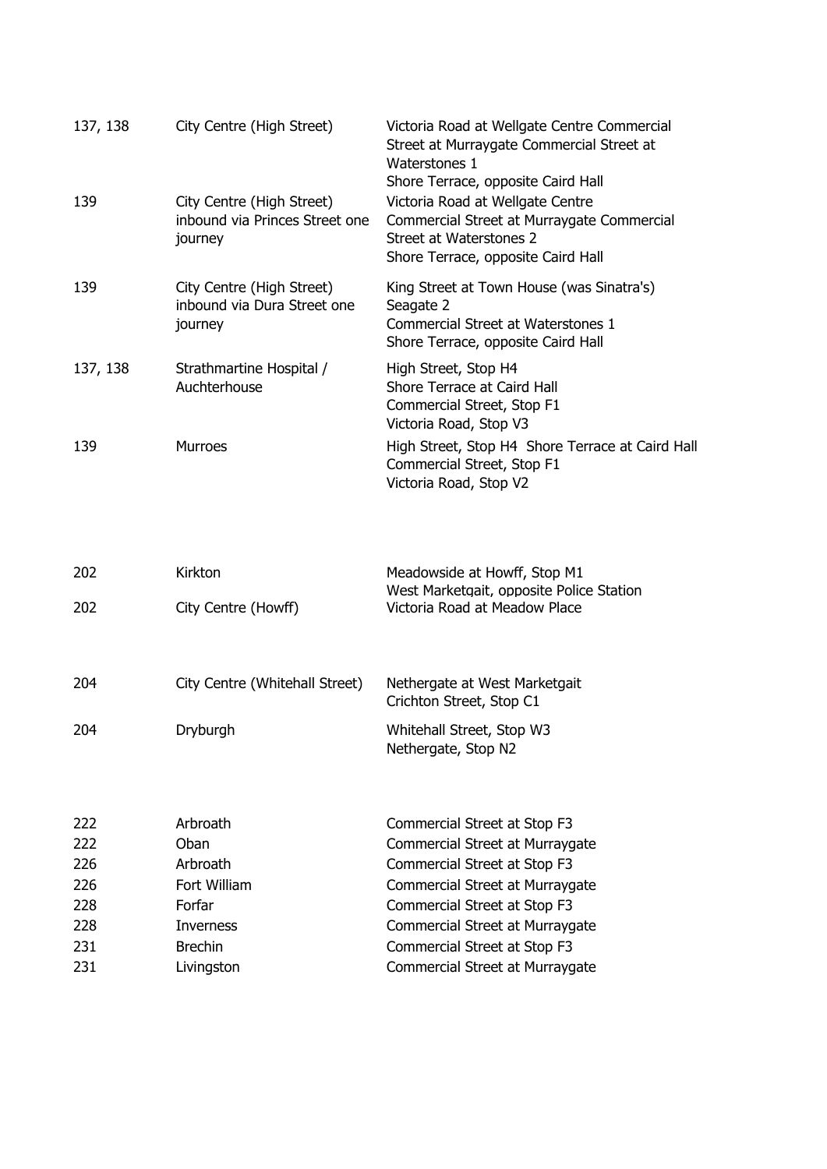| 137, 138   | City Centre (High Street)                                              | Victoria Road at Wellgate Centre Commercial<br>Street at Murraygate Commercial Street at<br>Waterstones 1<br>Shore Terrace, opposite Caird Hall |
|------------|------------------------------------------------------------------------|-------------------------------------------------------------------------------------------------------------------------------------------------|
| 139        | City Centre (High Street)<br>inbound via Princes Street one<br>journey | Victoria Road at Wellgate Centre<br>Commercial Street at Murraygate Commercial<br>Street at Waterstones 2<br>Shore Terrace, opposite Caird Hall |
| 139        | City Centre (High Street)<br>inbound via Dura Street one<br>journey    | King Street at Town House (was Sinatra's)<br>Seagate 2<br>Commercial Street at Waterstones 1<br>Shore Terrace, opposite Caird Hall              |
| 137, 138   | Strathmartine Hospital /<br>Auchterhouse                               | High Street, Stop H4<br>Shore Terrace at Caird Hall<br>Commercial Street, Stop F1<br>Victoria Road, Stop V3                                     |
| 139        | <b>Murroes</b>                                                         | High Street, Stop H4 Shore Terrace at Caird Hall<br>Commercial Street, Stop F1<br>Victoria Road, Stop V2                                        |
|            |                                                                        |                                                                                                                                                 |
| 202        | Kirkton                                                                | Meadowside at Howff, Stop M1                                                                                                                    |
| 202        | City Centre (Howff)                                                    | West Marketgait, opposite Police Station<br>Victoria Road at Meadow Place                                                                       |
| 204        | City Centre (Whitehall Street)                                         | Nethergate at West Marketgait<br>Crichton Street, Stop C1                                                                                       |
| 204        | Dryburgh                                                               | Whitehall Street, Stop W3<br>Nethergate, Stop N2                                                                                                |
|            |                                                                        |                                                                                                                                                 |
| 222        | Arbroath                                                               | Commercial Street at Stop F3                                                                                                                    |
| 222        | Oban                                                                   | Commercial Street at Murraygate                                                                                                                 |
| 226<br>226 | Arbroath<br>Fort William                                               | Commercial Street at Stop F3<br>Commercial Street at Murraygate                                                                                 |
| 228        | Forfar                                                                 | Commercial Street at Stop F3                                                                                                                    |
| 228        | Inverness                                                              | Commercial Street at Murraygate                                                                                                                 |
| 231        | <b>Brechin</b>                                                         | Commercial Street at Stop F3                                                                                                                    |
| 231        | Livingston                                                             | Commercial Street at Murraygate                                                                                                                 |
|            |                                                                        |                                                                                                                                                 |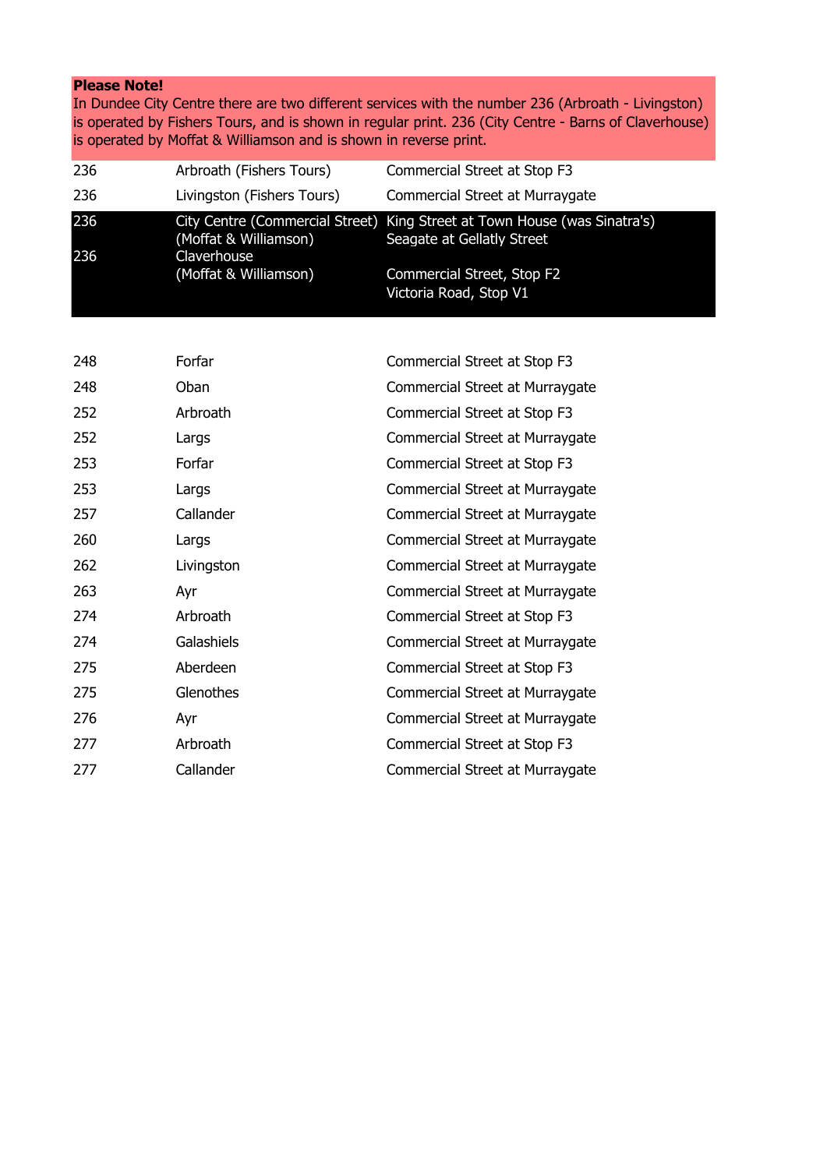## **Please Note!**

In Dundee City Centre there are two different services with the number 236 (Arbroath - Livingston) is operated by Fishers Tours, and is shown in regular print. 236 (City Centre - Barns of Claverhouse) is operated by Moffat & Williamson and is shown in reverse print.

| 236        | Arbroath (Fishers Tours)             | Commercial Street at Stop F3                                                                            |
|------------|--------------------------------------|---------------------------------------------------------------------------------------------------------|
| 236        | Livingston (Fishers Tours)           | Commercial Street at Murraygate                                                                         |
| 236<br>236 | (Moffat & Williamson)<br>Claverhouse | City Centre (Commercial Street) King Street at Town House (was Sinatra's)<br>Seagate at Gellatly Street |
|            | (Moffat & Williamson)                | Commercial Street, Stop F2<br>Victoria Road, Stop V1                                                    |

| 248 | Forfar     | Commercial Street at Stop F3    |
|-----|------------|---------------------------------|
| 248 | Oban       | Commercial Street at Murraygate |
| 252 | Arbroath   | Commercial Street at Stop F3    |
| 252 | Largs      | Commercial Street at Murraygate |
| 253 | Forfar     | Commercial Street at Stop F3    |
| 253 | Largs      | Commercial Street at Murraygate |
| 257 | Callander  | Commercial Street at Murraygate |
| 260 | Largs      | Commercial Street at Murraygate |
| 262 | Livingston | Commercial Street at Murraygate |
| 263 | Ayr        | Commercial Street at Murraygate |
| 274 | Arbroath   | Commercial Street at Stop F3    |
| 274 | Galashiels | Commercial Street at Murraygate |
| 275 | Aberdeen   | Commercial Street at Stop F3    |
| 275 | Glenothes  | Commercial Street at Murraygate |
| 276 | Ayr        | Commercial Street at Murraygate |
| 277 | Arbroath   | Commercial Street at Stop F3    |
| 277 | Callander  | Commercial Street at Murraygate |
|     |            |                                 |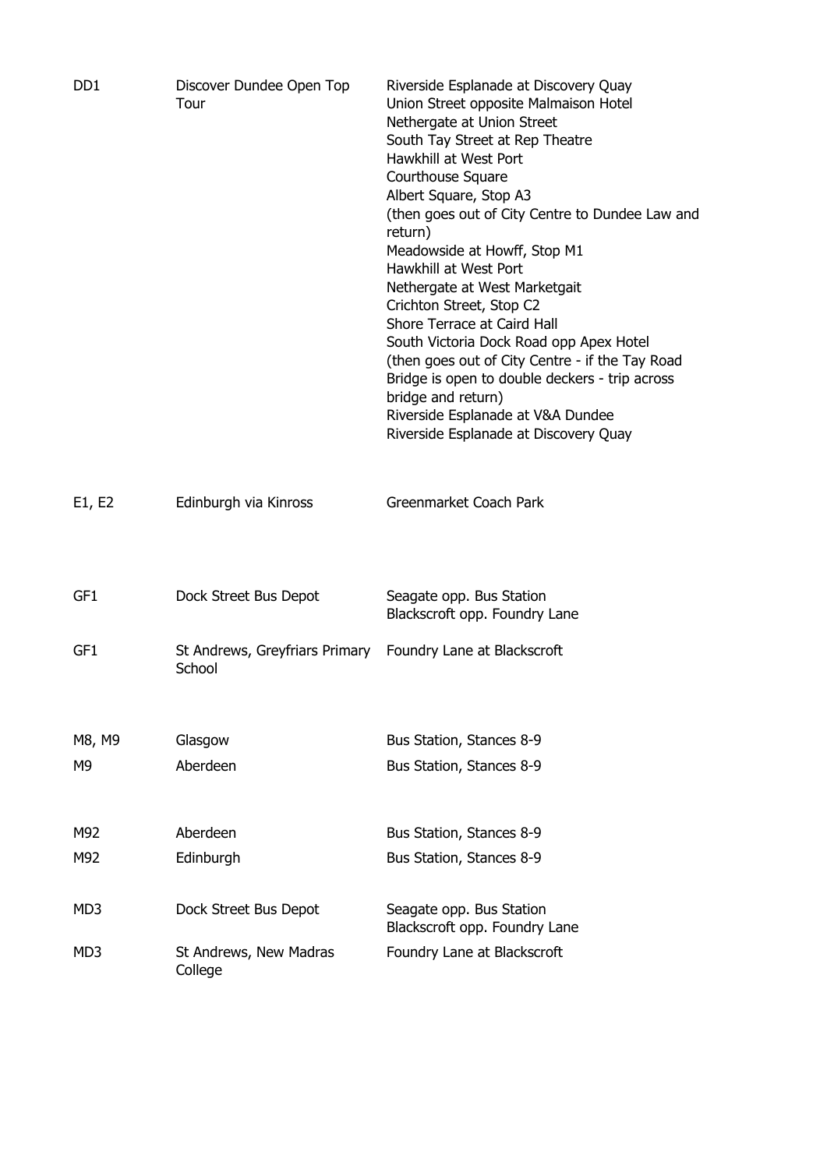| D <sub>D</sub> 1 | Discover Dundee Open Top<br>Tour         | Riverside Esplanade at Discovery Quay<br>Union Street opposite Malmaison Hotel<br>Nethergate at Union Street<br>South Tay Street at Rep Theatre<br>Hawkhill at West Port<br>Courthouse Square<br>Albert Square, Stop A3<br>(then goes out of City Centre to Dundee Law and<br>return)<br>Meadowside at Howff, Stop M1<br>Hawkhill at West Port<br>Nethergate at West Marketgait<br>Crichton Street, Stop C2<br>Shore Terrace at Caird Hall<br>South Victoria Dock Road opp Apex Hotel<br>(then goes out of City Centre - if the Tay Road<br>Bridge is open to double deckers - trip across<br>bridge and return)<br>Riverside Esplanade at V&A Dundee<br>Riverside Esplanade at Discovery Quay |
|------------------|------------------------------------------|------------------------------------------------------------------------------------------------------------------------------------------------------------------------------------------------------------------------------------------------------------------------------------------------------------------------------------------------------------------------------------------------------------------------------------------------------------------------------------------------------------------------------------------------------------------------------------------------------------------------------------------------------------------------------------------------|
| E1, E2           | Edinburgh via Kinross                    | Greenmarket Coach Park                                                                                                                                                                                                                                                                                                                                                                                                                                                                                                                                                                                                                                                                         |
| GF1              | Dock Street Bus Depot                    | Seagate opp. Bus Station<br>Blackscroft opp. Foundry Lane                                                                                                                                                                                                                                                                                                                                                                                                                                                                                                                                                                                                                                      |
| GF1              | St Andrews, Greyfriars Primary<br>School | Foundry Lane at Blackscroft                                                                                                                                                                                                                                                                                                                                                                                                                                                                                                                                                                                                                                                                    |
| M8, M9           | Glasgow                                  | Bus Station, Stances 8-9                                                                                                                                                                                                                                                                                                                                                                                                                                                                                                                                                                                                                                                                       |
| M9               | Aberdeen                                 | Bus Station, Stances 8-9                                                                                                                                                                                                                                                                                                                                                                                                                                                                                                                                                                                                                                                                       |
| M92              | Aberdeen                                 | Bus Station, Stances 8-9                                                                                                                                                                                                                                                                                                                                                                                                                                                                                                                                                                                                                                                                       |
| M92              | Edinburgh                                | Bus Station, Stances 8-9                                                                                                                                                                                                                                                                                                                                                                                                                                                                                                                                                                                                                                                                       |
| MD3              | Dock Street Bus Depot                    | Seagate opp. Bus Station<br>Blackscroft opp. Foundry Lane                                                                                                                                                                                                                                                                                                                                                                                                                                                                                                                                                                                                                                      |
| MD3              | St Andrews, New Madras<br>College        | Foundry Lane at Blackscroft                                                                                                                                                                                                                                                                                                                                                                                                                                                                                                                                                                                                                                                                    |